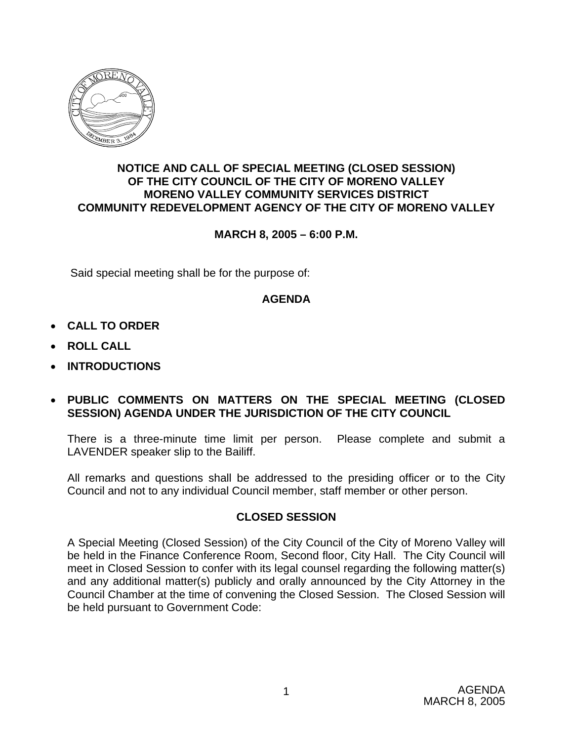

## **NOTICE AND CALL OF SPECIAL MEETING (CLOSED SESSION) OF THE CITY COUNCIL OF THE CITY OF MORENO VALLEY MORENO VALLEY COMMUNITY SERVICES DISTRICT COMMUNITY REDEVELOPMENT AGENCY OF THE CITY OF MORENO VALLEY**

# **MARCH 8, 2005 – 6:00 P.M.**

Said special meeting shall be for the purpose of:

### **AGENDA**

- **CALL TO ORDER**
- **ROLL CALL**
- **INTRODUCTIONS**

## • **PUBLIC COMMENTS ON MATTERS ON THE SPECIAL MEETING (CLOSED SESSION) AGENDA UNDER THE JURISDICTION OF THE CITY COUNCIL**

There is a three-minute time limit per person. Please complete and submit a LAVENDER speaker slip to the Bailiff.

All remarks and questions shall be addressed to the presiding officer or to the City Council and not to any individual Council member, staff member or other person.

# **CLOSED SESSION**

A Special Meeting (Closed Session) of the City Council of the City of Moreno Valley will be held in the Finance Conference Room, Second floor, City Hall. The City Council will meet in Closed Session to confer with its legal counsel regarding the following matter(s) and any additional matter(s) publicly and orally announced by the City Attorney in the Council Chamber at the time of convening the Closed Session. The Closed Session will be held pursuant to Government Code: